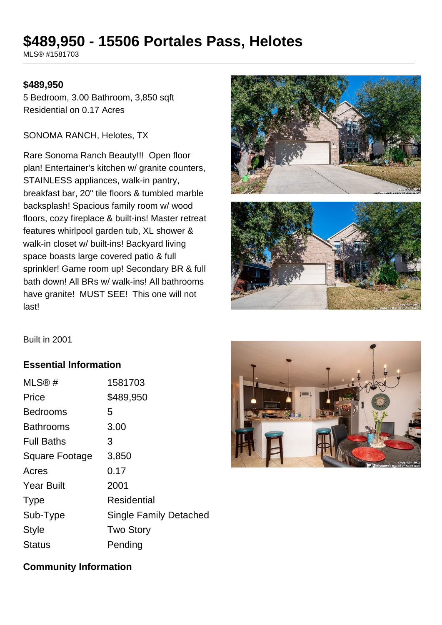# **\$489,950 - 15506 Portales Pass, Helotes**

MLS® #1581703

#### **\$489,950**

5 Bedroom, 3.00 Bathroom, 3,850 sqft Residential on 0.17 Acres

#### SONOMA RANCH, Helotes, TX

Rare Sonoma Ranch Beauty!!! Open floor plan! Entertainer's kitchen w/ granite counters, STAINLESS appliances, walk-in pantry, breakfast bar, 20" tile floors & tumbled marble backsplash! Spacious family room w/ wood floors, cozy fireplace & built-ins! Master retreat features whirlpool garden tub, XL shower & walk-in closet w/ built-ins! Backyard living space boasts large covered patio & full sprinkler! Game room up! Secondary BR & full bath down! All BRs w/ walk-ins! All bathrooms have granite! MUST SEE! This one will not last!





Built in 2001

## **Essential Information**

| MLS@#                 | 1581703                       |
|-----------------------|-------------------------------|
| Price                 | \$489,950                     |
| <b>Bedrooms</b>       | 5                             |
| Bathrooms             | 3.00                          |
| <b>Full Baths</b>     | З                             |
| <b>Square Footage</b> | 3,850                         |
| Acres                 | 0.17                          |
| <b>Year Built</b>     | 2001                          |
| <b>Type</b>           | Residential                   |
| Sub-Type              | <b>Single Family Detached</b> |
| <b>Style</b>          | <b>Two Story</b>              |
| Status                | Pending                       |



### **Community Information**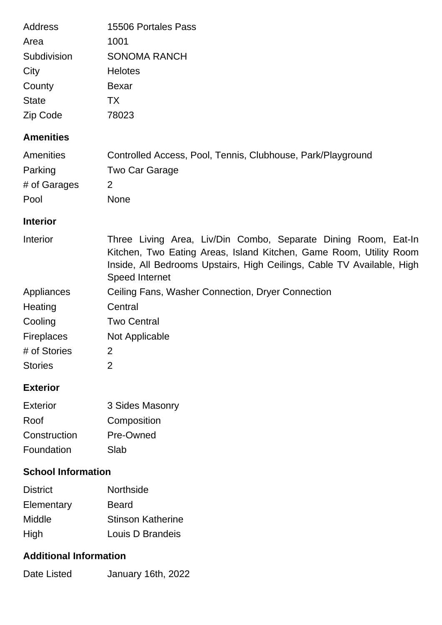| Address<br>Area           | 15506 Portales Pass<br>1001                                                                                                                                                                                                             |
|---------------------------|-----------------------------------------------------------------------------------------------------------------------------------------------------------------------------------------------------------------------------------------|
| Subdivision               | <b>SONOMA RANCH</b>                                                                                                                                                                                                                     |
| City                      | <b>Helotes</b>                                                                                                                                                                                                                          |
| County                    | <b>Bexar</b>                                                                                                                                                                                                                            |
| <b>State</b>              | TX                                                                                                                                                                                                                                      |
| Zip Code                  | 78023                                                                                                                                                                                                                                   |
| <b>Amenities</b>          |                                                                                                                                                                                                                                         |
| Amenities                 | Controlled Access, Pool, Tennis, Clubhouse, Park/Playground                                                                                                                                                                             |
| Parking                   | Two Car Garage                                                                                                                                                                                                                          |
| # of Garages              | 2                                                                                                                                                                                                                                       |
| Pool                      | <b>None</b>                                                                                                                                                                                                                             |
| <b>Interior</b>           |                                                                                                                                                                                                                                         |
| Interior                  | Three Living Area, Liv/Din Combo, Separate Dining Room, Eat-In<br>Kitchen, Two Eating Areas, Island Kitchen, Game Room, Utility Room<br>Inside, All Bedrooms Upstairs, High Ceilings, Cable TV Available, High<br><b>Speed Internet</b> |
| Appliances                | Ceiling Fans, Washer Connection, Dryer Connection                                                                                                                                                                                       |
| Heating                   | Central                                                                                                                                                                                                                                 |
| Cooling                   | <b>Two Central</b>                                                                                                                                                                                                                      |
| <b>Fireplaces</b>         | Not Applicable                                                                                                                                                                                                                          |
| # of Stories              | $\overline{2}$                                                                                                                                                                                                                          |
| <b>Stories</b>            | $\overline{2}$                                                                                                                                                                                                                          |
| <b>Exterior</b>           |                                                                                                                                                                                                                                         |
| <b>Exterior</b>           | 3 Sides Masonry                                                                                                                                                                                                                         |
| Roof                      | Composition                                                                                                                                                                                                                             |
| Construction              | Pre-Owned                                                                                                                                                                                                                               |
| Foundation                | Slab                                                                                                                                                                                                                                    |
| <b>School Information</b> |                                                                                                                                                                                                                                         |
| <b>District</b>           | Northside                                                                                                                                                                                                                               |
| Elementary                | <b>Beard</b>                                                                                                                                                                                                                            |
| Middle                    | <b>Stinson Katherine</b>                                                                                                                                                                                                                |
| High                      | Louis D Brandeis                                                                                                                                                                                                                        |

# **Additional Information**

| Date Listed | January 16th, 2022 |  |
|-------------|--------------------|--|
|             |                    |  |